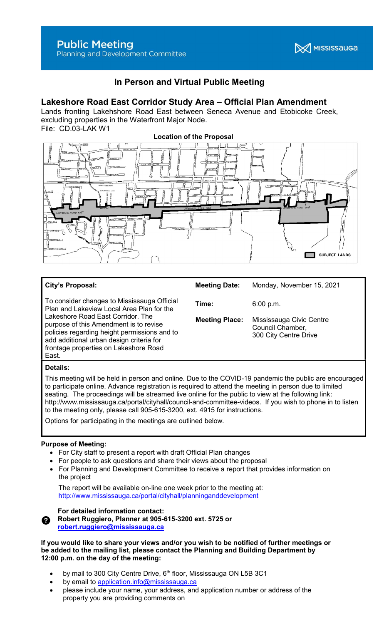Planning and Development Committee

# **X** MISSISSAUGA

## In Person and Virtual Public Meeting

### Lakeshore Road East Corridor Study Area – Official Plan Amendment

Lands fronting Lakehshore Road East between Seneca Avenue and Etobicoke Creek, excluding properties in the Waterfront Major Node. File: CD.03-LAK W1



#### City's Proposal:

To consider changes to Mississauga Official Plan and Lakeview Local Area Plan for the Lakeshore Road East Corridor. The purpose of this Amendment is to revise policies regarding height permissions and to add additional urban design criteria for frontage properties on Lakeshore Road East.

Meeting Date: Monday, November 15, 2021 **Time:** 6:00 p.m. Meeting Place: Mississauga Civic Centre

> Council Chamber, 300 City Centre Drive

#### Details:

This meeting will be held in person and online. Due to the COVID-19 pandemic the public are encouraged to participate online. Advance registration is required to attend the meeting in person due to limited seating. The proceedings will be streamed live online for the public to view at the following link: http://www.mississauga.ca/portal/cityhall/council-and-committee-videos. If you wish to phone in to listen to the meeting only, please call 905-615-3200, ext. 4915 for instructions.

Options for participating in the meetings are outlined below.

#### Purpose of Meeting:

- For City staff to present a report with draft Official Plan changes
- For people to ask questions and share their views about the proposal
- For Planning and Development Committee to receive a report that provides information on the project

 The report will be available on-line one week prior to the meeting at: http://www.mississauga.ca/portal/cityhall/planninganddevelopment



For detailed information contact:

Robert Ruggiero, Planner at 905-615-3200 ext. 5725 or robert.ruggiero@mississauga.ca

If you would like to share your views and/or you wish to be notified of further meetings or be added to the mailing list, please contact the Planning and Building Department by 12:00 p.m. on the day of the meeting:

- by mail to 300 City Centre Drive,  $6<sup>th</sup>$  floor, Mississauga ON L5B 3C1
- by email to application.info@mississauga.ca
- please include your name, your address, and application number or address of the property you are providing comments on